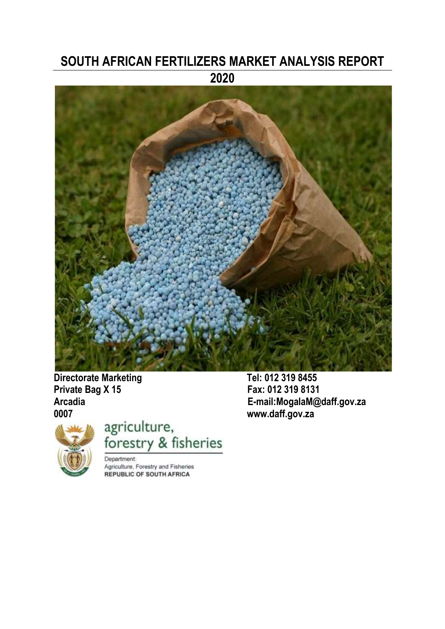# **SOUTH AFRICAN FERTILIZERS MARKET ANALYSIS REPORT 2020**



**Directorate Marketing Tel: 012 319 8455<br>
Private Bag X 15 6 Fax: 012 319 8131 Private Bag X 15** 

**Arcadia E-mail:MogalaM@daff.gov.za** 



agriculture,<br>forestry & fisheries

**Department:** Agriculture, Forestry and Fisheries **REPUBLIC OF SOUTH AFRICA**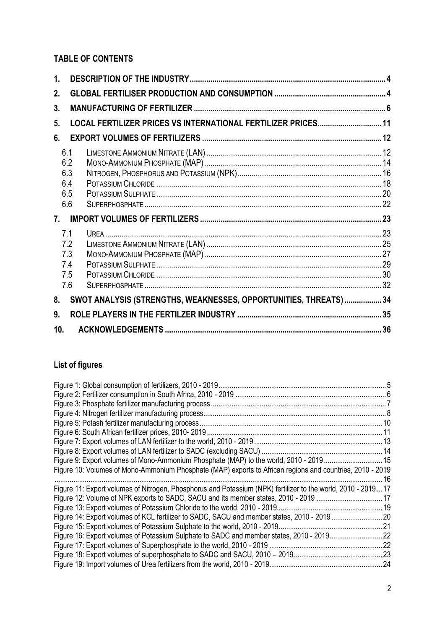# **TABLE OF CONTENTS**

| 1.  |     |                                                                   |  |
|-----|-----|-------------------------------------------------------------------|--|
| 2.  |     |                                                                   |  |
| 3.  |     |                                                                   |  |
| 5.  |     | LOCAL FERTILIZER PRICES VS INTERNATIONAL FERTILIZER PRICES 11     |  |
| 6.  |     |                                                                   |  |
|     | 6.1 |                                                                   |  |
|     | 6.2 |                                                                   |  |
|     | 6.3 |                                                                   |  |
|     | 6.4 |                                                                   |  |
|     | 6.5 |                                                                   |  |
|     | 6.6 |                                                                   |  |
| 7.  |     |                                                                   |  |
|     | 7.1 |                                                                   |  |
|     | 7.2 |                                                                   |  |
|     | 7.3 |                                                                   |  |
|     | 7.4 |                                                                   |  |
|     | 7.5 |                                                                   |  |
|     | 7.6 |                                                                   |  |
| 8.  |     | SWOT ANALYSIS (STRENGTHS, WEAKNESSES, OPPORTUNITIES, THREATS)  34 |  |
| 9.  |     |                                                                   |  |
| 10. |     |                                                                   |  |

# **List of figures**

| Figure 9: Export volumes of Mono-Ammonium Phosphate (MAP) to the world, 2010 - 2019 15                       |  |
|--------------------------------------------------------------------------------------------------------------|--|
| Figure 10: Volumes of Mono-Ammonium Phosphate (MAP) exports to African regions and countries, 2010 - 2019    |  |
|                                                                                                              |  |
| Figure 11: Export volumes of Nitrogen, Phosphorus and Potassium (NPK) fertilizer to the world, 2010 - 201917 |  |
| Figure 12: Volume of NPK exports to SADC, SACU and its member states, 2010 - 2019 17                         |  |
|                                                                                                              |  |
|                                                                                                              |  |
|                                                                                                              |  |
| Figure 16: Export volumes of Potassium Sulphate to SADC and member states, 2010 - 201922                     |  |
|                                                                                                              |  |
|                                                                                                              |  |
|                                                                                                              |  |
|                                                                                                              |  |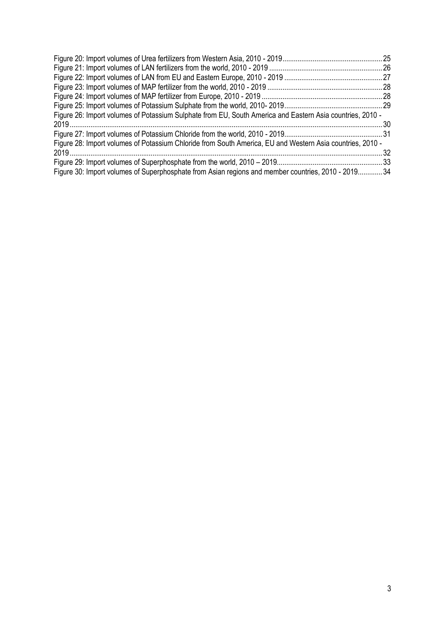<span id="page-2-0"></span>

|                                                                                                           | . 25 |
|-----------------------------------------------------------------------------------------------------------|------|
|                                                                                                           |      |
|                                                                                                           |      |
|                                                                                                           |      |
|                                                                                                           |      |
|                                                                                                           |      |
| Figure 26: Import volumes of Potassium Sulphate from EU, South America and Eastern Asia countries, 2010 - |      |
|                                                                                                           | .30  |
|                                                                                                           |      |
| Figure 28: Import volumes of Potassium Chloride from South America, EU and Western Asia countries, 2010 - |      |
|                                                                                                           | -32  |
|                                                                                                           |      |
| Figure 30: Import volumes of Superphosphate from Asian regions and member countries, 2010 - 2019 34       |      |
|                                                                                                           |      |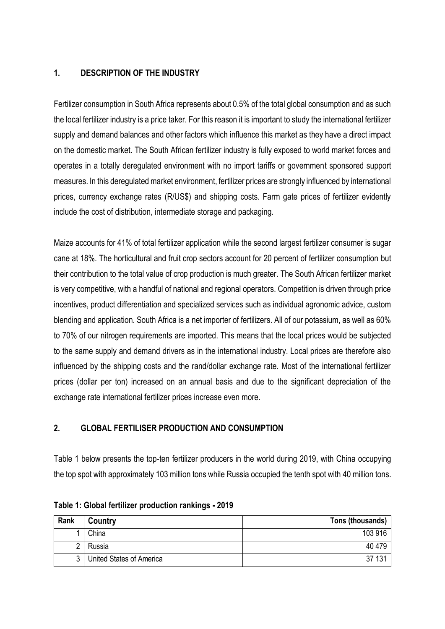### **1. DESCRIPTION OF THE INDUSTRY**

Fertilizer consumption in South Africa represents about 0.5% of the total global consumption and as such the local fertilizer industry is a price taker. For this reason it is important to study the international fertilizer supply and demand balances and other factors which influence this market as they have a direct impact on the domestic market. The South African fertilizer industry is fully exposed to world market forces and operates in a totally deregulated environment with no import tariffs or government sponsored support measures. In this deregulated market environment, fertilizer prices are strongly influenced by international prices, currency exchange rates (R/US\$) and shipping costs. Farm gate prices of fertilizer evidently include the cost of distribution, intermediate storage and packaging.

Maize accounts for 41% of total fertilizer application while the second largest fertilizer consumer is sugar cane at 18%. The horticultural and fruit crop sectors account for 20 percent of fertilizer consumption but their contribution to the total value of crop production is much greater. The South African fertilizer market is very competitive, with a handful of national and regional operators. Competition is driven through price incentives, product differentiation and specialized services such as individual agronomic advice, custom blending and application. South Africa is a net importer of fertilizers. All of our potassium, as well as 60% to 70% of our nitrogen requirements are imported. This means that the local prices would be subjected to the same supply and demand drivers as in the international industry. Local prices are therefore also influenced by the shipping costs and the rand/dollar exchange rate. Most of the international fertilizer prices (dollar per ton) increased on an annual basis and due to the significant depreciation of the exchange rate international fertilizer prices increase even more.

# <span id="page-3-0"></span>**2. GLOBAL FERTILISER PRODUCTION AND CONSUMPTION**

Table 1 below presents the top-ten fertilizer producers in the world during 2019, with China occupying the top spot with approximately 103 million tons while Russia occupied the tenth spot with 40 million tons.

| Rank | Country                  | Tons (thousands) |
|------|--------------------------|------------------|
|      | China                    | 103 916          |
|      | Russia                   | 40 479           |
|      | United States of America | 37 131           |

#### **Table 1: Global fertilizer production rankings - 2019**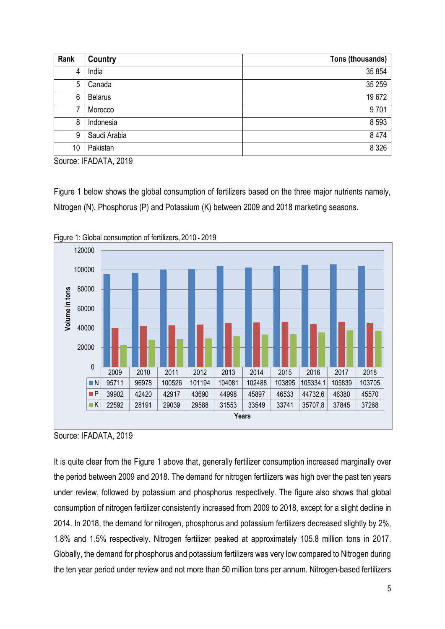| Rank | Country        | Tons (thousands) |
|------|----------------|------------------|
| 4    | India          | 35 854           |
| 5    | Canada         | 35 25 9          |
| 6    | <b>Belarus</b> | 19672            |
|      | Morocco        | 9701             |
| 8    | Indonesia      | 8 5 9 3          |
| 9    | Saudi Arabia   | 8 4 7 4          |
| 10   | Pakistan       | 8 3 2 6          |

Source: IFADATA, 2019

Figure 1 below shows the global consumption of fertilizers based on the three major nutrients namely, Nitrogen (N), Phosphorus (P) and Potassium (K) between 2009 and 2018 marketing seasons.



<span id="page-4-0"></span>

Source: IFADATA, 2019

It is quite clear from the Figure 1 above that, generally fertilizer consumption increased marginally over the period between 2009 and 2018. The demand for nitrogen fertilizers was high over the past ten years under review, followed by potassium and phosphorus respectively. The figure also shows that global consumption of nitrogen fertilizer consistently increased from 2009 to 2018, except for a slight decline in 2014. In 2018, the demand for nitrogen, phosphorus and potassium fertilizers decreased slightly by 2%, 1.8% and 1.5% respectively. Nitrogen fertilizer peaked at approximately 105.8 million tons in 2017. Globally, the demand for phosphorus and potassium fertilizers was very low compared to Nitrogen during the ten year period under review and not more than 50 million tons per annum. Nitrogen-based fertilizers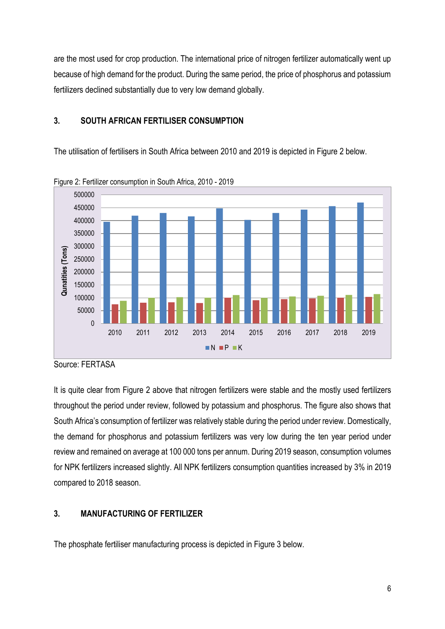are the most used for crop production. The international price of nitrogen fertilizer automatically went up because of high demand for the product. During the same period, the price of phosphorus and potassium fertilizers declined substantially due to very low demand globally.

# **3. SOUTH AFRICAN FERTILISER CONSUMPTION**

The utilisation of fertilisers in South Africa between 2010 and 2019 is depicted in Figure 2 below.



<span id="page-5-1"></span>

It is quite clear from Figure 2 above that nitrogen fertilizers were stable and the mostly used fertilizers throughout the period under review, followed by potassium and phosphorus. The figure also shows that South Africa's consumption of fertilizer was relatively stable during the period under review. Domestically, the demand for phosphorus and potassium fertilizers was very low during the ten year period under review and remained on average at 100 000 tons per annum. During 2019 season, consumption volumes for NPK fertilizers increased slightly. All NPK fertilizers consumption quantities increased by 3% in 2019 compared to 2018 season.

# <span id="page-5-0"></span>**3. MANUFACTURING OF FERTILIZER**

The phosphate fertiliser manufacturing process is depicted in Figure 3 below.

Source: FERTASA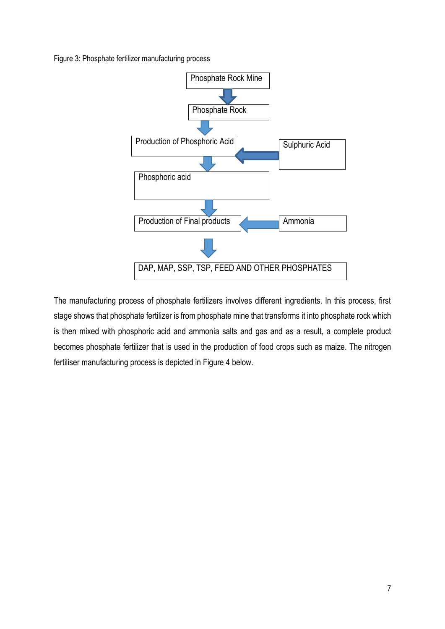<span id="page-6-0"></span>Figure 3: Phosphate fertilizer manufacturing process



The manufacturing process of phosphate fertilizers involves different ingredients. In this process, first stage shows that phosphate fertilizer is from phosphate mine that transforms it into phosphate rock which is then mixed with phosphoric acid and ammonia salts and gas and as a result, a complete product becomes phosphate fertilizer that is used in the production of food crops such as maize. The nitrogen fertiliser manufacturing process is depicted in Figure 4 below.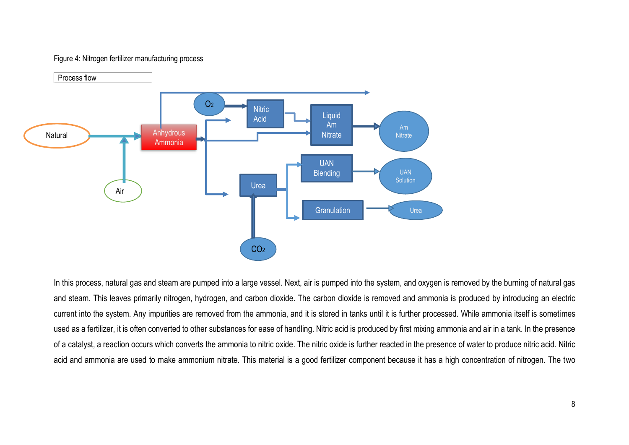#### Figure 4: Nitrogen fertilizer manufacturing process



<span id="page-7-0"></span>In this process, natural gas and steam are pumped into a large vessel. Next, air is pumped into the system, and oxygen is removed by the burning of natural gas and steam. This leaves primarily nitrogen, hydrogen, and carbon dioxide. The carbon dioxide is removed and ammonia is produced by introducing an electric current into the system. Any impurities are removed from the ammonia, and it is stored in tanks until it is further processed. While ammonia itself is sometimes used as a fertilizer, it is often converted to other substances for ease of handling. Nitric acid is produced by first mixing ammonia and air in a tank. In the presence of a catalyst, a reaction occurs which converts the ammonia to nitric oxide. The nitric oxide is further reacted in the presence of water to produce nitric acid. Nitric acid and ammonia are used to make ammonium nitrate. This material is a good fertilizer component because it has a high concentration of nitrogen. The two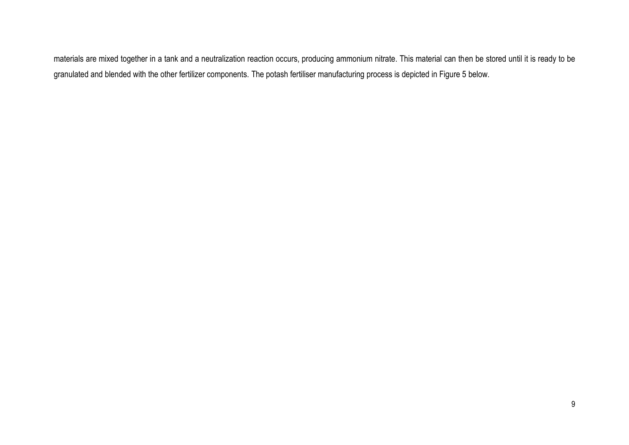materials are mixed together in a tank and a neutralization reaction occurs, producing ammonium nitrate. This material can then be stored until it is ready to be granulated and blended with the other fertilizer components. The potash fertiliser manufacturing process is depicted in Figure 5 below.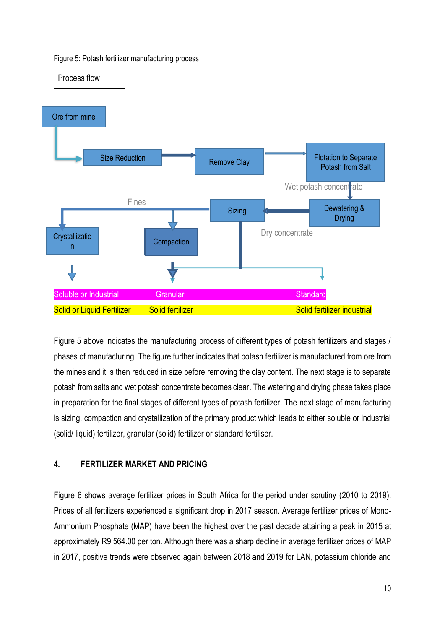#### <span id="page-9-0"></span>Figure 5: Potash fertilizer manufacturing process



Figure 5 above indicates the manufacturing process of different types of potash fertilizers and stages / phases of manufacturing. The figure further indicates that potash fertilizer is manufactured from ore from the mines and it is then reduced in size before removing the clay content. The next stage is to separate potash from salts and wet potash concentrate becomes clear. The watering and drying phase takes place in preparation for the final stages of different types of potash fertilizer. The next stage of manufacturing is sizing, compaction and crystallization of the primary product which leads to either soluble or industrial (solid/ liquid) fertilizer, granular (solid) fertilizer or standard fertiliser.

# **4. FERTILIZER MARKET AND PRICING**

Figure 6 shows average fertilizer prices in South Africa for the period under scrutiny (2010 to 2019). Prices of all fertilizers experienced a significant drop in 2017 season. Average fertilizer prices of Mono-Ammonium Phosphate (MAP) have been the highest over the past decade attaining a peak in 2015 at approximately R9 564.00 per ton. Although there was a sharp decline in average fertilizer prices of MAP in 2017, positive trends were observed again between 2018 and 2019 for LAN, potassium chloride and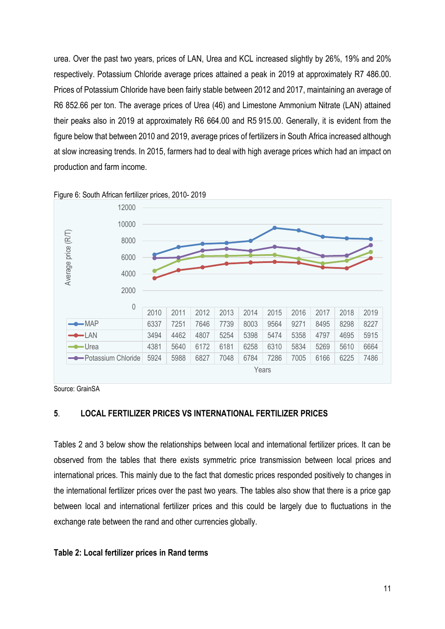urea. Over the past two years, prices of LAN, Urea and KCL increased slightly by 26%, 19% and 20% respectively. Potassium Chloride average prices attained a peak in 2019 at approximately R7 486.00. Prices of Potassium Chloride have been fairly stable between 2012 and 2017, maintaining an average of R6 852.66 per ton. The average prices of Urea (46) and Limestone Ammonium Nitrate (LAN) attained their peaks also in 2019 at approximately R6 664.00 and R5 915.00. Generally, it is evident from the figure below that between 2010 and 2019, average prices of fertilizers in South Africa increased although at slow increasing trends. In 2015, farmers had to deal with high average prices which had an impact on production and farm income.



<span id="page-10-1"></span>Figure 6: South African fertilizer prices, 2010- 2019

Source: GrainSA

### <span id="page-10-0"></span>**5**. **LOCAL FERTILIZER PRICES VS INTERNATIONAL FERTILIZER PRICES**

Tables 2 and 3 below show the relationships between local and international fertilizer prices. It can be observed from the tables that there exists symmetric price transmission between local prices and international prices. This mainly due to the fact that domestic prices responded positively to changes in the international fertilizer prices over the past two years. The tables also show that there is a price gap between local and international fertilizer prices and this could be largely due to fluctuations in the exchange rate between the rand and other currencies globally.

#### **Table 2: Local fertilizer prices in Rand terms**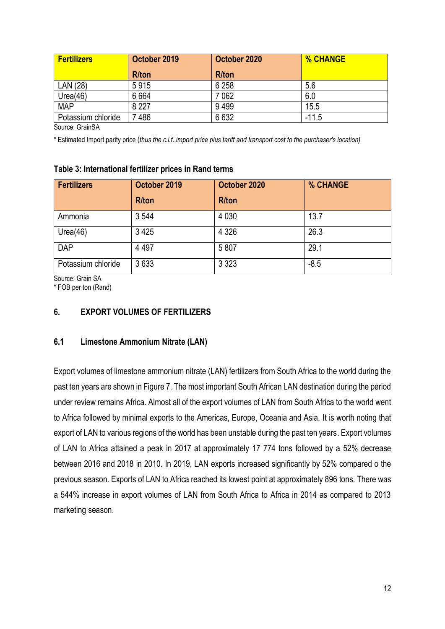| <b>Fertilizers</b> | October 2019 | October 2020  | <b>% CHANGE</b> |
|--------------------|--------------|---------------|-----------------|
|                    | <b>R/ton</b> | <b>R</b> /ton |                 |
| LAN (28)           | 5915         | 6 2 5 8       | 5.6             |
| Urea(46)           | 6664         | 7062          | 6.0             |
| <b>MAP</b>         | 8 2 2 7      | 9499          | 15.5            |
| Potassium chloride | 486          | 6632          | $-11.5$         |

Source: GrainSA

\* Estimated Import parity price (*thus the c.i.f. import price plus tariff and transport cost to the purchaser's location)*

#### **Table 3: International fertilizer prices in Rand terms**

| <b>Fertilizers</b> | October 2019 | October 2020  | % CHANGE |
|--------------------|--------------|---------------|----------|
|                    | <b>R/ton</b> | <b>R</b> /ton |          |
| Ammonia            | 3 5 4 4      | 4 0 3 0       | 13.7     |
| Urea(46)           | 3 4 2 5      | 4 3 2 6       | 26.3     |
| <b>DAP</b>         | 4 4 9 7      | 5807          | 29.1     |
| Potassium chloride | 3633         | 3 3 2 3       | $-8.5$   |

Source: Grain SA

\* FOB per ton (Rand)

#### <span id="page-11-0"></span>**6. EXPORT VOLUMES OF FERTILIZERS**

#### <span id="page-11-1"></span>**6.1 Limestone Ammonium Nitrate (LAN)**

Export volumes of limestone ammonium nitrate (LAN) fertilizers from South Africa to the world during the past ten years are shown in Figure 7. The most important South African LAN destination during the period under review remains Africa. Almost all of the export volumes of LAN from South Africa to the world went to Africa followed by minimal exports to the Americas, Europe, Oceania and Asia. It is worth noting that export of LAN to various regions of the world has been unstable during the past ten years. Export volumes of LAN to Africa attained a peak in 2017 at approximately 17 774 tons followed by a 52% decrease between 2016 and 2018 in 2010. In 2019, LAN exports increased significantly by 52% compared o the previous season. Exports of LAN to Africa reached its lowest point at approximately 896 tons. There was a 544% increase in export volumes of LAN from South Africa to Africa in 2014 as compared to 2013 marketing season.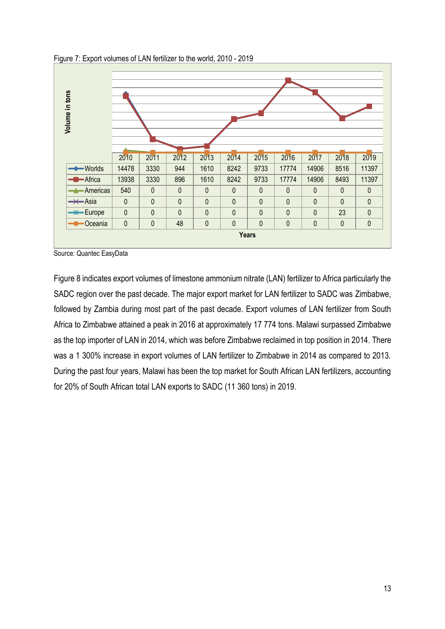

<span id="page-12-0"></span>Figure 7: Export volumes of LAN fertilizer to the world, 2010 - 2019

Figure 8 indicates export volumes of limestone ammonium nitrate (LAN) fertilizer to Africa particularly the SADC region over the past decade. The major export market for LAN fertilizer to SADC was Zimbabwe, followed by Zambia during most part of the past decade. Export volumes of LAN fertilizer from South Africa to Zimbabwe attained a peak in 2016 at approximately 17 774 tons. Malawi surpassed Zimbabwe as the top importer of LAN in 2014, which was before Zimbabwe reclaimed in top position in 2014. There was a 1 300% increase in export volumes of LAN fertilizer to Zimbabwe in 2014 as compared to 2013. During the past four years, Malawi has been the top market for South African LAN fertilizers, accounting for 20% of South African total LAN exports to SADC (11 360 tons) in 2019.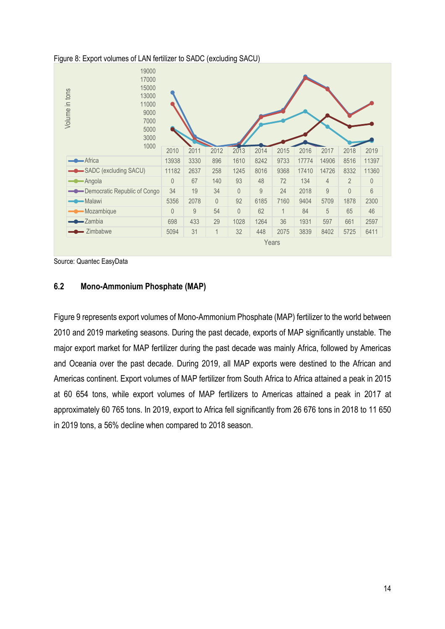

#### <span id="page-13-1"></span>Figure 8: Export volumes of LAN fertilizer to SADC (excluding SACU)

Source: Quantec EasyData

### <span id="page-13-0"></span>**6.2 Mono-Ammonium Phosphate (MAP)**

Figure 9 represents export volumes of Mono-Ammonium Phosphate (MAP) fertilizer to the world between 2010 and 2019 marketing seasons. During the past decade, exports of MAP significantly unstable. The major export market for MAP fertilizer during the past decade was mainly Africa, followed by Americas and Oceania over the past decade. During 2019, all MAP exports were destined to the African and Americas continent. Export volumes of MAP fertilizer from South Africa to Africa attained a peak in 2015 at 60 654 tons, while export volumes of MAP fertilizers to Americas attained a peak in 2017 at approximately 60 765 tons. In 2019, export to Africa fell significantly from 26 676 tons in 2018 to 11 650 in 2019 tons, a 56% decline when compared to 2018 season.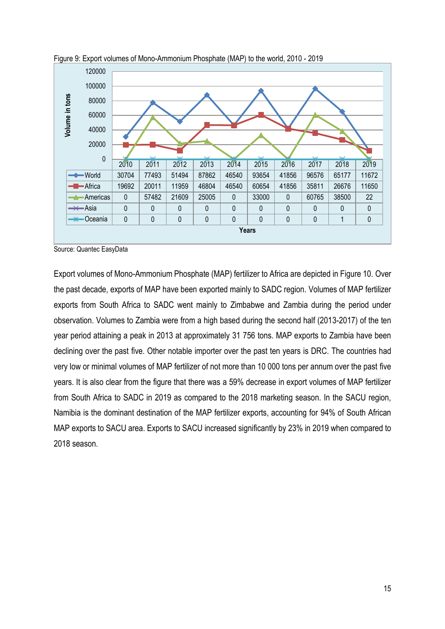

<span id="page-14-0"></span>

Export volumes of Mono-Ammonium Phosphate (MAP) fertilizer to Africa are depicted in Figure 10. Over the past decade, exports of MAP have been exported mainly to SADC region. Volumes of MAP fertilizer exports from South Africa to SADC went mainly to Zimbabwe and Zambia during the period under observation. Volumes to Zambia were from a high based during the second half (2013-2017) of the ten year period attaining a peak in 2013 at approximately 31 756 tons. MAP exports to Zambia have been declining over the past five. Other notable importer over the past ten years is DRC. The countries had very low or minimal volumes of MAP fertilizer of not more than 10 000 tons per annum over the past five years. It is also clear from the figure that there was a 59% decrease in export volumes of MAP fertilizer from South Africa to SADC in 2019 as compared to the 2018 marketing season. In the SACU region, Namibia is the dominant destination of the MAP fertilizer exports, accounting for 94% of South African MAP exports to SACU area. Exports to SACU increased significantly by 23% in 2019 when compared to 2018 season.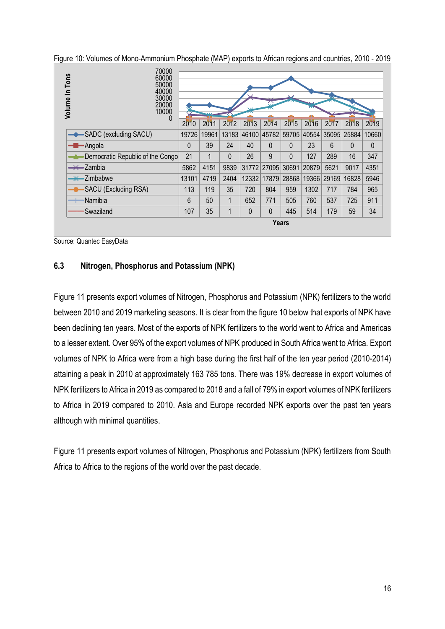<span id="page-15-1"></span>

| Figure 10: Volumes of Mono-Ammonium Phosphate (MAP) exports to African regions and countries, 2010 - 2019 |  |  |  |
|-----------------------------------------------------------------------------------------------------------|--|--|--|
|-----------------------------------------------------------------------------------------------------------|--|--|--|

| 70000<br>Volume in Tons<br>60000<br>50000<br>40000<br>30000<br>20000<br>10000 |       |       |             |              | 즜                                   |                   |       |      |       |          |
|-------------------------------------------------------------------------------|-------|-------|-------------|--------------|-------------------------------------|-------------------|-------|------|-------|----------|
| U                                                                             | 2010  | 2011  | 2012        | 2013         | 2014                                | 2015              | 2016  | 2017 | 2018  | 2019     |
| SADC (excluding SACU)                                                         | 19726 | 19961 |             |              | 13183 46100 45782 59705 40554 35095 |                   |       |      | 25884 | 10660    |
| $\leftarrow$ Angola                                                           | 0     | 39    | 24          | 40           | $\Omega$                            | $\Omega$          | 23    | 6    | 0     | $\Omega$ |
| Democratic Republic of the Congo                                              | 21    | 1     | $\Omega$    | 26           | 9                                   | $\Omega$          | 127   | 289  | 16    | 347      |
| $\rightarrow$ Zambia                                                          | 5862  | 4151  | 9839        |              | 31772 27095                         | 30691             | 20879 | 5621 | 9017  | 4351     |
| $\rightarrow$ Zimbabwe                                                        | 13101 | 4719  | 2404        | 12332        | 17879                               | 28868 19366 29169 |       |      | 16828 | 5946     |
| SACU (Excluding RSA)                                                          | 113   | 119   | 35          | 720          | 804                                 | 959               | 1302  | 717  | 784   | 965      |
| ∙Namibia<br>$\hspace{1.5cm} =$                                                | 6     | 50    | 1           | 652          | 771                                 | 505               | 760   | 537  | 725   | 911      |
| Swaziland                                                                     | 107   | 35    | $\mathbf 1$ | $\mathbf{0}$ | $\mathbf{0}$                        | 445               | 514   | 179  | 59    | 34       |
|                                                                               |       |       |             |              | <b>Years</b>                        |                   |       |      |       |          |

## <span id="page-15-0"></span>**6.3 Nitrogen, Phosphorus and Potassium (NPK)**

Figure 11 presents export volumes of Nitrogen, Phosphorus and Potassium (NPK) fertilizers to the world between 2010 and 2019 marketing seasons. It is clear from the figure 10 below that exports of NPK have been declining ten years. Most of the exports of NPK fertilizers to the world went to Africa and Americas to a lesser extent. Over 95% of the export volumes of NPK produced in South Africa went to Africa. Export volumes of NPK to Africa were from a high base during the first half of the ten year period (2010-2014) attaining a peak in 2010 at approximately 163 785 tons. There was 19% decrease in export volumes of NPK fertilizers to Africa in 2019 as compared to 2018 and a fall of 79% in export volumes of NPK fertilizers to Africa in 2019 compared to 2010. Asia and Europe recorded NPK exports over the past ten years although with minimal quantities.

Figure 11 presents export volumes of Nitrogen, Phosphorus and Potassium (NPK) fertilizers from South Africa to Africa to the regions of the world over the past decade.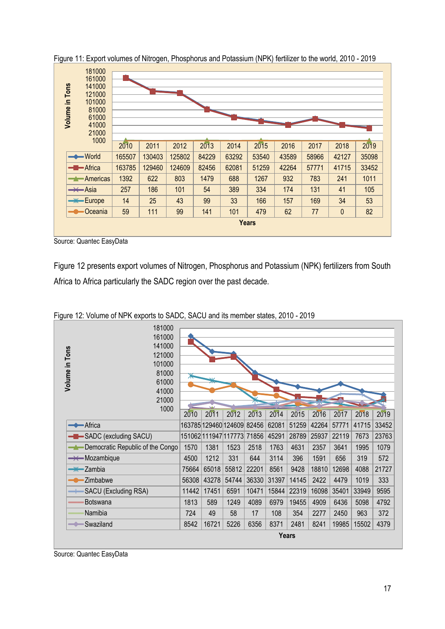| in Tons<br>Volume | 181000<br>161000<br>141000<br>121000<br>101000<br>81000<br>61000<br>41000<br>21000<br>1000 |        |        |        |       |       |              |       |       |           |       |
|-------------------|--------------------------------------------------------------------------------------------|--------|--------|--------|-------|-------|--------------|-------|-------|-----------|-------|
|                   |                                                                                            | 2010   | 2011   | 2012   | 2013  | 2014  | 2015         | 2016  | 2017  | 2018      | 2019  |
|                   | $\longrightarrow$ World                                                                    | 165507 | 130403 | 125802 | 84229 | 63292 | 53540        | 43589 | 58966 | 42127     | 35098 |
|                   | <b>-B</b> -Africa                                                                          | 163785 | 129460 | 124609 | 82456 | 62081 | 51259        | 42264 | 57771 | 41715     | 33452 |
|                   | Americas<br>-1-                                                                            | 1392   | 622    | 803    | 1479  | 688   | 1267         | 932   | 783   | 241       | 1011  |
|                   | $\rightarrow$ Asia                                                                         | 257    | 186    | 101    | 54    | 389   | 334          | 174   | 131   | 41        | 105   |
|                   | <b>Europe</b>                                                                              | 14     | 25     | 43     | 99    | 33    | 166          | 157   | 169   | 34        | 53    |
|                   | Oceania                                                                                    | 59     | 111    | 99     | 141   | 101   | 479          | 62    | 77    | $\pmb{0}$ | 82    |
|                   |                                                                                            |        |        |        |       |       | <b>Years</b> |       |       |           |       |

<span id="page-16-0"></span>Figure 11: Export volumes of Nitrogen, Phosphorus and Potassium (NPK) fertilizer to the world, 2010 - 2019

Source: Quantec EasyData

Figure 12 presents export volumes of Nitrogen, Phosphorus and Potassium (NPK) fertilizers from South Africa to Africa particularly the SADC region over the past decade.

| 181000<br>161000<br>141000<br>Volume in Tons<br>121000<br>101000<br>81000<br>61000<br>41000<br>21000<br>1000 |                            |       |                      |       |       |              |       |       |       |       |
|--------------------------------------------------------------------------------------------------------------|----------------------------|-------|----------------------|-------|-------|--------------|-------|-------|-------|-------|
|                                                                                                              | 2010                       | 2011  | 2012                 | 2013  | 2014  | 2015         | 2016  | 2017  | 2018  | 2019  |
| Africa                                                                                                       |                            |       | 163785 129460 124609 | 82456 | 62081 | 51259        | 42264 | 57771 | 41715 | 33452 |
| SADC (excluding SACU)                                                                                        | 151062 111947 117773 71856 |       |                      |       | 45291 | 28789        | 25937 | 22119 | 7673  | 23763 |
| Democratic Republic of the Congo                                                                             | 1570                       | 1381  | 1523                 | 2518  | 1763  | 4631         | 2357  | 3641  | 1995  | 1079  |
| <b>A</b> Ozambique                                                                                           | 4500                       | 1212  | 331                  | 644   | 3114  | 396          | 1591  | 656   | 319   | 572   |
| $\frac{1}{2}$ Zambia                                                                                         | 75664                      | 65018 | 55812                | 22201 | 8561  | 9428         | 18810 | 12698 | 4088  | 21727 |
| Zimbabwe                                                                                                     | 56308                      | 43278 | 54744                | 36330 | 31397 | 14145        | 2422  | 4479  | 1019  | 333   |
| SACU (Excluding RSA)                                                                                         | 11442                      | 17451 | 6591                 | 10471 | 15844 | 22319        | 16098 | 35401 | 33949 | 9595  |
| Botswana                                                                                                     | 1813                       | 589   | 1249                 | 4089  | 6979  | 19455        | 4909  | 6436  | 5098  | 4792  |
| Namibia                                                                                                      | 724                        | 49    | 58                   | 17    | 108   | 354          | 2277  | 2450  | 963   | 372   |
| Swaziland                                                                                                    | 8542                       | 16721 | 5226                 | 6356  | 8371  | 2481         | 8241  | 19985 | 15502 | 4379  |
|                                                                                                              |                            |       |                      |       |       | <b>Years</b> |       |       |       |       |

<span id="page-16-1"></span>Figure 12: Volume of NPK exports to SADC, SACU and its member states, 2010 - 2019

Source: Quantec EasyData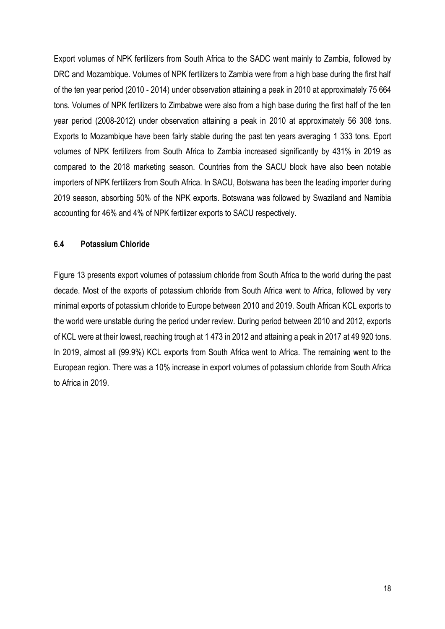Export volumes of NPK fertilizers from South Africa to the SADC went mainly to Zambia, followed by DRC and Mozambique. Volumes of NPK fertilizers to Zambia were from a high base during the first half of the ten year period (2010 - 2014) under observation attaining a peak in 2010 at approximately 75 664 tons. Volumes of NPK fertilizers to Zimbabwe were also from a high base during the first half of the ten year period (2008-2012) under observation attaining a peak in 2010 at approximately 56 308 tons. Exports to Mozambique have been fairly stable during the past ten years averaging 1 333 tons. Eport volumes of NPK fertilizers from South Africa to Zambia increased significantly by 431% in 2019 as compared to the 2018 marketing season. Countries from the SACU block have also been notable importers of NPK fertilizers from South Africa. In SACU, Botswana has been the leading importer during 2019 season, absorbing 50% of the NPK exports. Botswana was followed by Swaziland and Namibia accounting for 46% and 4% of NPK fertilizer exports to SACU respectively.

### <span id="page-17-0"></span>**6.4 Potassium Chloride**

Figure 13 presents export volumes of potassium chloride from South Africa to the world during the past decade. Most of the exports of potassium chloride from South Africa went to Africa, followed by very minimal exports of potassium chloride to Europe between 2010 and 2019. South African KCL exports to the world were unstable during the period under review. During period between 2010 and 2012, exports of KCL were at their lowest, reaching trough at 1 473 in 2012 and attaining a peak in 2017 at 49 920 tons. In 2019, almost all (99.9%) KCL exports from South Africa went to Africa. The remaining went to the European region. There was a 10% increase in export volumes of potassium chloride from South Africa to Africa in 2019.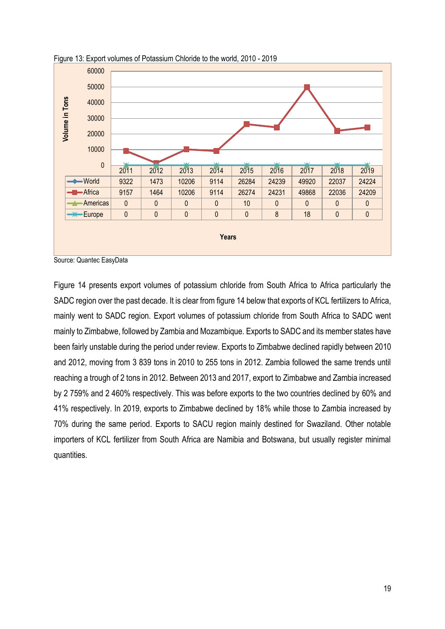

<span id="page-18-0"></span>Figure 13: Export volumes of Potassium Chloride to the world, 2010 - 2019

Figure 14 presents export volumes of potassium chloride from South Africa to Africa particularly the SADC region over the past decade. It is clear from figure 14 below that exports of KCL fertilizers to Africa, mainly went to SADC region. Export volumes of potassium chloride from South Africa to SADC went mainly to Zimbabwe, followed by Zambia and Mozambique. Exports to SADC and its member states have been fairly unstable during the period under review. Exports to Zimbabwe declined rapidly between 2010 and 2012, moving from 3 839 tons in 2010 to 255 tons in 2012. Zambia followed the same trends until reaching a trough of 2 tons in 2012. Between 2013 and 2017, export to Zimbabwe and Zambia increased by 2 759% and 2 460% respectively. This was before exports to the two countries declined by 60% and 41% respectively. In 2019, exports to Zimbabwe declined by 18% while those to Zambia increased by 70% during the same period. Exports to SACU region mainly destined for Swaziland. Other notable importers of KCL fertilizer from South Africa are Namibia and Botswana, but usually register minimal quantities.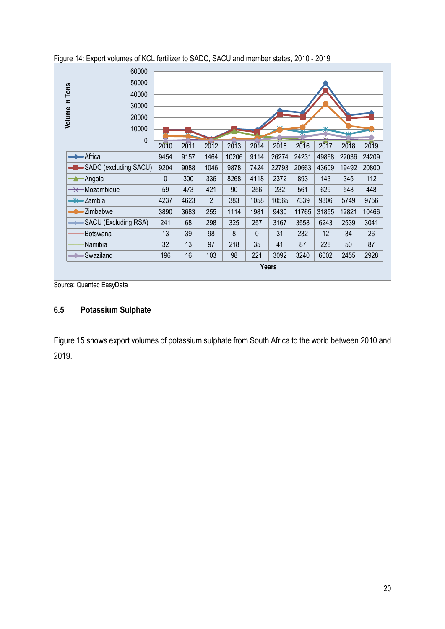| 60000                                 |              |      |                |       |          |              |       |        |       |       |  |  |
|---------------------------------------|--------------|------|----------------|-------|----------|--------------|-------|--------|-------|-------|--|--|
| 50000                                 |              |      |                |       |          |              |       |        |       |       |  |  |
| 40000                                 |              |      |                |       |          |              |       |        |       |       |  |  |
| Volume in Tons<br>30000               |              |      |                |       |          |              |       |        |       |       |  |  |
| 20000                                 |              |      |                |       |          |              |       |        |       |       |  |  |
| 10000                                 |              |      |                |       |          |              | ᄍ     | $\vee$ |       |       |  |  |
| 0                                     |              |      |                |       |          |              |       | Ŵ      |       |       |  |  |
|                                       | 2010         | 2011 | 2012           | 2013  | 2014     | 2015         | 2016  | 2017   | 2018  | 2019  |  |  |
| <b>Africa</b>                         | 9454         | 9157 | 1464           | 10206 | 9114     | 26274        | 24231 | 49868  | 22036 | 24209 |  |  |
| -B-SADC (excluding SACU)              | 9204         | 9088 | 1046           | 9878  | 7424     | 22793        | 20663 | 43609  | 19492 | 20800 |  |  |
| -Angola<br>╼┷                         | $\mathbf{0}$ | 300  | 336            | 8268  | 4118     | 2372         | 893   | 143    | 345   | 112   |  |  |
| $\rightarrow\leftarrow$ Mozambique    | 59           | 473  | 421            | 90    | 256      | 232          | 561   | 629    | 548   | 448   |  |  |
| <del>- X -</del> Zambia               | 4237         | 4623 | $\overline{2}$ | 383   | 1058     | 10565        | 7339  | 9806   | 5749  | 9756  |  |  |
| Zimbabwe                              | 3890         | 3683 | 255            | 1114  | 1981     | 9430         | 11765 | 31855  | 12821 | 10466 |  |  |
| SACU (Excluding RSA)<br>$\rightarrow$ | 241          | 68   | 298            | 325   | 257      | 3167         | 3558  | 6243   | 2539  | 3041  |  |  |
| Botswana                              | 13           | 39   | 98             | 8     | $\Omega$ | 31           | 232   | 12     | 34    | 26    |  |  |
| Namibia                               | 32           | 13   | 97             | 218   | 35       | 41           | 87    | 228    | 50    | 87    |  |  |
| Swaziland<br>$\hspace{0.05cm}$        | 196          | 16   | 103            | 98    | 221      | 3092         | 3240  | 6002   | 2455  | 2928  |  |  |
|                                       |              |      |                |       |          | <b>Years</b> |       |        |       |       |  |  |

<span id="page-19-1"></span>Figure 14: Export volumes of KCL fertilizer to SADC, SACU and member states, 2010 - 2019

Source: Quantec EasyData

# <span id="page-19-0"></span>**6.5 Potassium Sulphate**

Figure 15 shows export volumes of potassium sulphate from South Africa to the world between 2010 and 2019.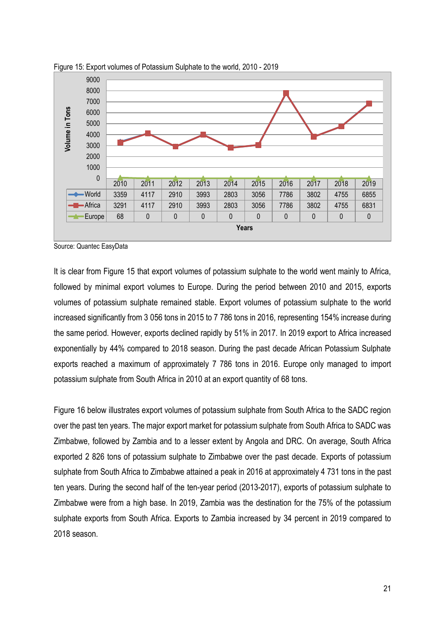

<span id="page-20-0"></span>Figure 15: Export volumes of Potassium Sulphate to the world, 2010 - 2019

It is clear from Figure 15 that export volumes of potassium sulphate to the world went mainly to Africa, followed by minimal export volumes to Europe. During the period between 2010 and 2015, exports volumes of potassium sulphate remained stable. Export volumes of potassium sulphate to the world increased significantly from 3 056 tons in 2015 to 7 786 tons in 2016, representing 154% increase during the same period. However, exports declined rapidly by 51% in 2017. In 2019 export to Africa increased exponentially by 44% compared to 2018 season. During the past decade African Potassium Sulphate exports reached a maximum of approximately 7 786 tons in 2016. Europe only managed to import potassium sulphate from South Africa in 2010 at an export quantity of 68 tons.

Figure 16 below illustrates export volumes of potassium sulphate from South Africa to the SADC region over the past ten years. The major export market for potassium sulphate from South Africa to SADC was Zimbabwe, followed by Zambia and to a lesser extent by Angola and DRC. On average, South Africa exported 2 826 tons of potassium sulphate to Zimbabwe over the past decade. Exports of potassium sulphate from South Africa to Zimbabwe attained a peak in 2016 at approximately 4 731 tons in the past ten years. During the second half of the ten-year period (2013-2017), exports of potassium sulphate to Zimbabwe were from a high base. In 2019, Zambia was the destination for the 75% of the potassium sulphate exports from South Africa. Exports to Zambia increased by 34 percent in 2019 compared to 2018 season.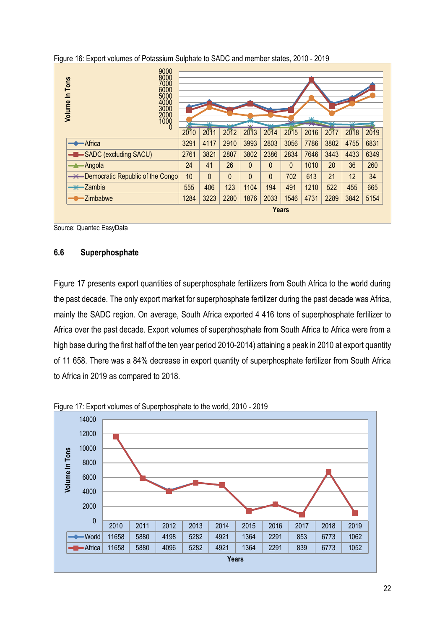| 9000<br>8000<br>Volume in Tons<br>7000<br>6000<br>5000<br>4000<br>3000<br>2000<br>1000 |      | $\overline{\mathbf{v}}$ |              | ₩        |              |              | $\overline{\mathbf{M}}$<br>⌒ | ᅛ    | $\overline{\mathbf{v}}$ |      |
|----------------------------------------------------------------------------------------|------|-------------------------|--------------|----------|--------------|--------------|------------------------------|------|-------------------------|------|
| 0                                                                                      | 2010 | 2011                    | 2012         | 2013     | 2014         | 2015         | 2016                         | 2017 | 2018                    | 2019 |
| <b>Africa</b>                                                                          | 3291 | 4117                    | 2910         | 3993     | 2803         | 3056         | 7786                         | 3802 | 4755                    | 6831 |
| -B-SADC (excluding SACU)                                                               | 2761 | 3821                    | 2807         | 3802     | 2386         | 2834         | 7646                         | 3443 | 4433                    | 6349 |
| <b>Angola</b>                                                                          | 24   | 41                      | 26           | $\Omega$ | $\mathbf{0}$ | $\Omega$     | 1010                         | 20   | 36                      | 260  |
| - Democratic Republic of the Congo                                                     | 10   | $\mathbf{0}$            | $\mathbf{0}$ | $\Omega$ | $\mathbf{0}$ | 702          | 613                          | 21   | 12                      | 34   |
| $\rightarrow$ Zambia                                                                   | 555  | 406                     | 123          | 1104     | 194          | 491          | 1210                         | 522  | 455                     | 665  |
| Zimbabwe                                                                               | 1284 | 3223                    | 2280         | 1876     | 2033         | 1546         | 4731                         | 2289 | 3842                    | 5154 |
|                                                                                        |      |                         |              |          |              | <b>Years</b> |                              |      |                         |      |

<span id="page-21-1"></span>

### <span id="page-21-0"></span>**6.6 Superphosphate**

Figure 17 presents export quantities of superphosphate fertilizers from South Africa to the world during the past decade. The only export market for superphosphate fertilizer during the past decade was Africa, mainly the SADC region. On average, South Africa exported 4 416 tons of superphosphate fertilizer to Africa over the past decade. Export volumes of superphosphate from South Africa to Africa were from a high base during the first half of the ten year period 2010-2014) attaining a peak in 2010 at export quantity of 11 658. There was a 84% decrease in export quantity of superphosphate fertilizer from South Africa to Africa in 2019 as compared to 2018.



<span id="page-21-2"></span>Figure 17: Export volumes of Superphosphate to the world, 2010 - 2019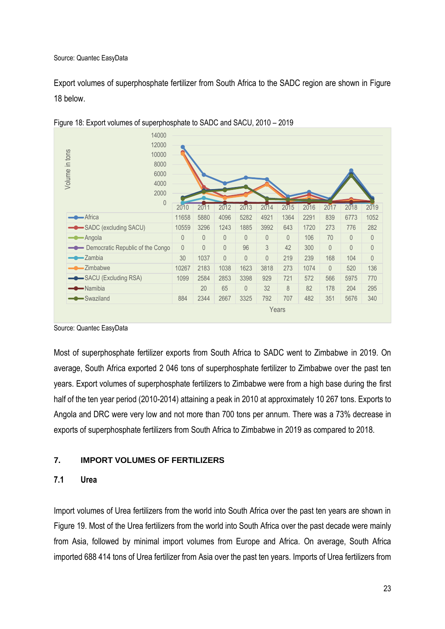Export volumes of superphosphate fertilizer from South Africa to the SADC region are shown in Figure 18 below.



<span id="page-22-2"></span>Figure 18: Export volumes of superphosphate to SADC and SACU, 2010 – 2019

Most of superphosphate fertilizer exports from South Africa to SADC went to Zimbabwe in 2019. On average, South Africa exported 2 046 tons of superphosphate fertilizer to Zimbabwe over the past ten years. Export volumes of superphosphate fertilizers to Zimbabwe were from a high base during the first half of the ten year period (2010-2014) attaining a peak in 2010 at approximately 10 267 tons. Exports to Angola and DRC were very low and not more than 700 tons per annum. There was a 73% decrease in exports of superphosphate fertilizers from South Africa to Zimbabwe in 2019 as compared to 2018.

# <span id="page-22-0"></span>**7. IMPORT VOLUMES OF FERTILIZERS**

### <span id="page-22-1"></span>**7.1 Urea**

Import volumes of Urea fertilizers from the world into South Africa over the past ten years are shown in Figure 19. Most of the Urea fertilizers from the world into South Africa over the past decade were mainly from Asia, followed by minimal import volumes from Europe and Africa. On average, South Africa imported 688 414 tons of Urea fertilizer from Asia over the past ten years. Imports of Urea fertilizers from

Source: Quantec EasyData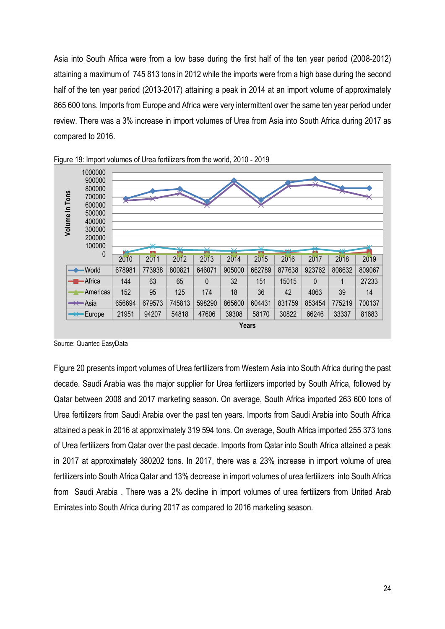Asia into South Africa were from a low base during the first half of the ten year period (2008-2012) attaining a maximum of 745 813 tons in 2012 while the imports were from a high base during the second half of the ten year period (2013-2017) attaining a peak in 2014 at an import volume of approximately 865 600 tons. Imports from Europe and Africa were very intermittent over the same ten year period under review. There was a 3% increase in import volumes of Urea from Asia into South Africa during 2017 as compared to 2016.



<span id="page-23-0"></span>

Figure 20 presents import volumes of Urea fertilizers from Western Asia into South Africa during the past decade. Saudi Arabia was the major supplier for Urea fertilizers imported by South Africa, followed by Qatar between 2008 and 2017 marketing season. On average, South Africa imported 263 600 tons of Urea fertilizers from Saudi Arabia over the past ten years. Imports from Saudi Arabia into South Africa attained a peak in 2016 at approximately 319 594 tons. On average, South Africa imported 255 373 tons of Urea fertilizers from Qatar over the past decade. Imports from Qatar into South Africa attained a peak in 2017 at approximately 380202 tons. In 2017, there was a 23% increase in import volume of urea fertilizers into South Africa Qatar and 13% decrease in import volumes of urea fertilizers into South Africa from Saudi Arabia . There was a 2% decline in import volumes of urea fertilizers from United Arab Emirates into South Africa during 2017 as compared to 2016 marketing season.

Source: Quantec EasyData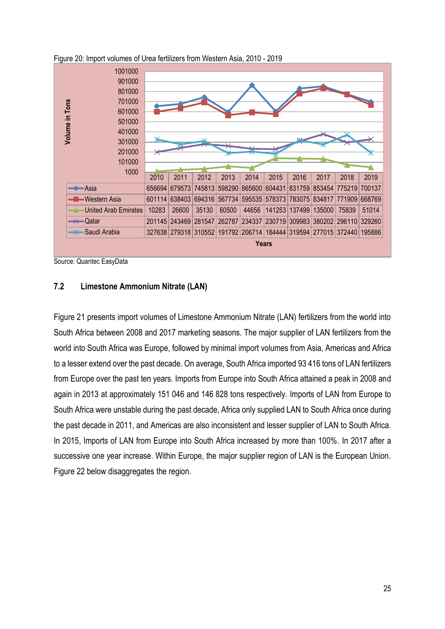

<span id="page-24-1"></span>Figure 20: Import volumes of Urea fertilizers from Western Asia, 2010 - 2019

## <span id="page-24-0"></span>**7.2 Limestone Ammonium Nitrate (LAN)**

Figure 21 presents import volumes of Limestone Ammonium Nitrate (LAN) fertilizers from the world into South Africa between 2008 and 2017 marketing seasons. The major supplier of LAN fertilizers from the world into South Africa was Europe, followed by minimal import volumes from Asia, Americas and Africa to a lesser extend over the past decade. On average, South Africa imported 93 416 tons of LAN fertilizers from Europe over the past ten years. Imports from Europe into South Africa attained a peak in 2008 and again in 2013 at approximately 151 046 and 146 828 tons respectively. Imports of LAN from Europe to South Africa were unstable during the past decade, Africa only supplied LAN to South Africa once during the past decade in 2011, and Americas are also inconsistent and lesser supplier of LAN to South Africa. In 2015, Imports of LAN from Europe into South Africa increased by more than 100%. In 2017 after a successive one year increase. Within Europe, the major supplier region of LAN is the European Union. Figure 22 below disaggregates the region.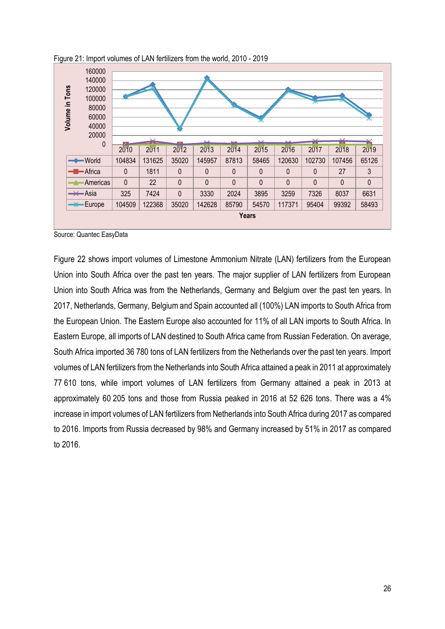

<span id="page-25-0"></span>Figure 21: Import volumes of LAN fertilizers from the world, 2010 - 2019

Figure 22 shows import volumes of Limestone Ammonium Nitrate (LAN) fertilizers from the European Union into South Africa over the past ten years. The major supplier of LAN fertilizers from European Union into South Africa was from the Netherlands, Germany and Belgium over the past ten years. In 2017, Netherlands, Germany, Belgium and Spain accounted all (100%) LAN imports to South Africa from the European Union. The Eastern Europe also accounted for 11% of all LAN imports to South Africa. In Eastern Europe, all imports of LAN destined to South Africa came from Russian Federation. On average, South Africa imported 36 780 tons of LAN fertilizers from the Netherlands over the past ten years. Import volumes of LAN fertilizers from the Netherlands into South Africa attained a peak in 2011 at approximately 77 610 tons, while import volumes of LAN fertilizers from Germany attained a peak in 2013 at approximately 60 205 tons and those from Russia peaked in 2016 at 52 626 tons. There was a 4% increase in import volumes of LAN fertilizers from Netherlands into South Africa during 2017 as compared to 2016. Imports from Russia decreased by 98% and Germany increased by 51% in 2017 as compared to 2016.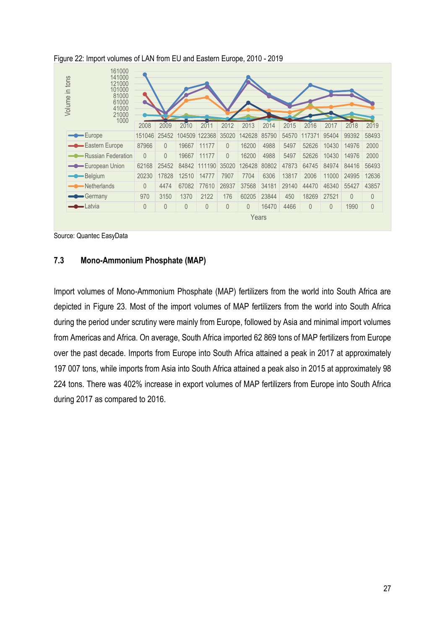| Volume in tons | 161000<br>141000<br>121000<br>101000<br>81000<br>61000<br>41000<br>21000<br>1000 |          |          |          |              |          |                |       |       |          |       |          |             |
|----------------|----------------------------------------------------------------------------------|----------|----------|----------|--------------|----------|----------------|-------|-------|----------|-------|----------|-------------|
|                |                                                                                  | 2008     | 2009     | 2010     | 2011         | 2012     | 2013           | 2014  | 2015  | 2016     | 2017  | 2018     | 2019        |
|                | -Europe                                                                          | 151046   | 25452    | 104509   | 122368       | 35020    | 142628         | 85790 | 54570 | 117371   | 95404 | 99392    | 58493       |
|                | -Eastern Europe                                                                  | 87966    | $\Omega$ | 19667    | 11177        | $\Omega$ | 16200          | 4988  | 5497  | 52626    | 10430 | 14976    | 2000        |
|                | <b>Russian Federation</b>                                                        | $\theta$ | $\Omega$ | 19667    | 11177        | $\Omega$ | 16200          | 4988  | 5497  | 52626    | 10430 | 14976    | 2000        |
|                | -European Union                                                                  | 62168    | 25452    |          | 84842 111190 | 35020    | 126428         | 80802 | 47873 | 64745    | 84974 | 84416    | 56493       |
|                | -Belgium                                                                         | 20230    | 17828    | 12510    | 14777        | 7907     | 7704           | 6306  | 13817 | 2006     | 11000 | 24995    | 12636       |
|                | -Netherlands                                                                     | $\theta$ | 4474     | 67082    | 77610        | 26937    | 37568          | 34181 | 29140 | 44470    | 46340 | 55427    | 43857       |
|                | Germany                                                                          | 970      | 3150     | 1370     | 2122         | 176      | 60205          | 23844 | 450   | 18269    | 27521 | $\Omega$ | $\Omega$    |
|                | $\bigcirc$ Latvia                                                                | $\theta$ | 0        | $\theta$ | 0            | $\theta$ | $\overline{0}$ | 16470 | 4466  | $\theta$ | 0     | 1990     | $\mathbb O$ |
|                | Years                                                                            |          |          |          |              |          |                |       |       |          |       |          |             |

#### <span id="page-26-1"></span>Figure 22: Import volumes of LAN from EU and Eastern Europe, 2010 - 2019

Source: Quantec EasyData

#### <span id="page-26-0"></span>**7.3 Mono-Ammonium Phosphate (MAP)**

Import volumes of Mono-Ammonium Phosphate (MAP) fertilizers from the world into South Africa are depicted in Figure 23. Most of the import volumes of MAP fertilizers from the world into South Africa during the period under scrutiny were mainly from Europe, followed by Asia and minimal import volumes from Americas and Africa. On average, South Africa imported 62 869 tons of MAP fertilizers from Europe over the past decade. Imports from Europe into South Africa attained a peak in 2017 at approximately 197 007 tons, while imports from Asia into South Africa attained a peak also in 2015 at approximately 98 224 tons. There was 402% increase in export volumes of MAP fertilizers from Europe into South Africa during 2017 as compared to 2016.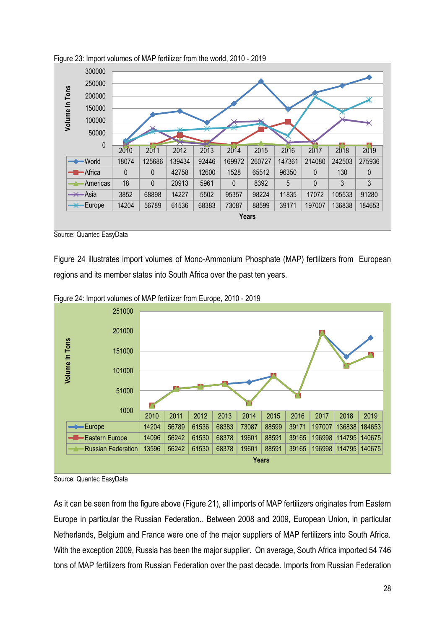

<span id="page-27-0"></span>Figure 23: Import volumes of MAP fertilizer from the world, 2010 - 2019

Figure 24 illustrates import volumes of Mono-Ammonium Phosphate (MAP) fertilizers from European regions and its member states into South Africa over the past ten years.



<span id="page-27-1"></span>Figure 24: Import volumes of MAP fertilizer from Europe, 2010 - 2019

As it can be seen from the figure above (Figure 21), all imports of MAP fertilizers originates from Eastern Europe in particular the Russian Federation.. Between 2008 and 2009, European Union, in particular Netherlands, Belgium and France were one of the major suppliers of MAP fertilizers into South Africa. With the exception 2009, Russia has been the major supplier. On average, South Africa imported 54 746 tons of MAP fertilizers from Russian Federation over the past decade. Imports from Russian Federation

Source: Quantec EasyData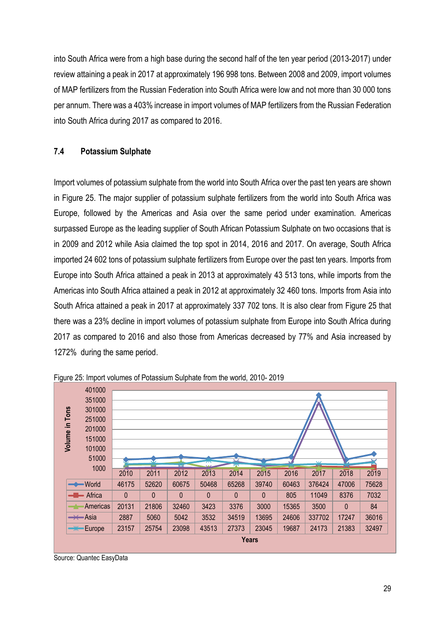into South Africa were from a high base during the second half of the ten year period (2013-2017) under review attaining a peak in 2017 at approximately 196 998 tons. Between 2008 and 2009, import volumes of MAP fertilizers from the Russian Federation into South Africa were low and not more than 30 000 tons per annum. There was a 403% increase in import volumes of MAP fertilizers from the Russian Federation into South Africa during 2017 as compared to 2016.

## <span id="page-28-0"></span>**7.4 Potassium Sulphate**

Import volumes of potassium sulphate from the world into South Africa over the past ten years are shown in Figure 25. The major supplier of potassium sulphate fertilizers from the world into South Africa was Europe, followed by the Americas and Asia over the same period under examination. Americas surpassed Europe as the leading supplier of South African Potassium Sulphate on two occasions that is in 2009 and 2012 while Asia claimed the top spot in 2014, 2016 and 2017. On average, South Africa imported 24 602 tons of potassium sulphate fertilizers from Europe over the past ten years. Imports from Europe into South Africa attained a peak in 2013 at approximately 43 513 tons, while imports from the Americas into South Africa attained a peak in 2012 at approximately 32 460 tons. Imports from Asia into South Africa attained a peak in 2017 at approximately 337 702 tons. It is also clear from Figure 25 that there was a 23% decline in import volumes of potassium sulphate from Europe into South Africa during 2017 as compared to 2016 and also those from Americas decreased by 77% and Asia increased by 1272% during the same period.



<span id="page-28-1"></span>Figure 25: Import volumes of Potassium Sulphate from the world, 2010- 2019

Source: Quantec EasyData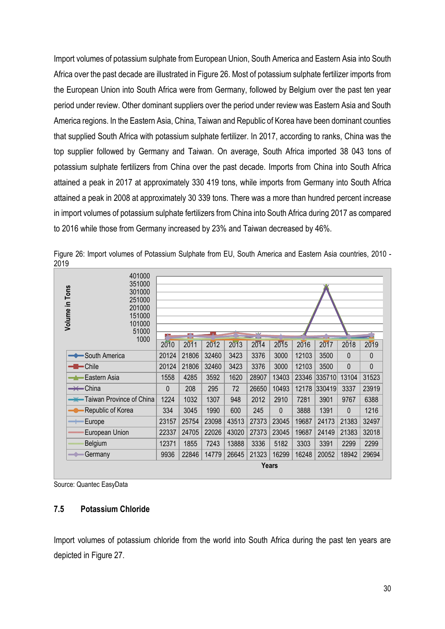Import volumes of potassium sulphate from European Union, South America and Eastern Asia into South Africa over the past decade are illustrated in Figure 26. Most of potassium sulphate fertilizer imports from the European Union into South Africa were from Germany, followed by Belgium over the past ten year period under review. Other dominant suppliers over the period under review was Eastern Asia and South America regions. In the Eastern Asia, China, Taiwan and Republic of Korea have been dominant counties that supplied South Africa with potassium sulphate fertilizer. In 2017, according to ranks, China was the top supplier followed by Germany and Taiwan. On average, South Africa imported 38 043 tons of potassium sulphate fertilizers from China over the past decade. Imports from China into South Africa attained a peak in 2017 at approximately 330 419 tons, while imports from Germany into South Africa attained a peak in 2008 at approximately 30 339 tons. There was a more than hundred percent increase in import volumes of potassium sulphate fertilizers from China into South Africa during 2017 as compared to 2016 while those from Germany increased by 23% and Taiwan decreased by 46%.

| 401000<br>351000<br>Volume in Tons<br>301000<br>251000<br>201000<br>151000<br>101000<br>51000<br>1000 | p.           | r v   |       |       | $\overline{\mathbf{v}}$ |          |       |        |              |       |
|-------------------------------------------------------------------------------------------------------|--------------|-------|-------|-------|-------------------------|----------|-------|--------|--------------|-------|
|                                                                                                       | 2010         | 2011  | 2012  | 2013  | 2014                    | 2015     | 2016  | 2017   | 2018         | 2019  |
| South America                                                                                         | 20124        | 21806 | 32460 | 3423  | 3376                    | 3000     | 12103 | 3500   | $\theta$     | 0     |
| $-\blacksquare$ - Chile                                                                               | 20124        | 21806 | 32460 | 3423  | 3376                    | 3000     | 12103 | 3500   | $\mathbf{0}$ | 0     |
| ∙Eastern Asia                                                                                         | 1558         | 4285  | 3592  | 1620  | 28907                   | 13403    | 23346 | 335710 | 13104        | 31523 |
| $\rightarrow$ China                                                                                   | $\theta$     | 208   | 295   | 72    | 26650                   | 10493    | 12178 | 330419 | 3337         | 23919 |
| <b>**</b> Taiwan Province of China                                                                    | 1224         | 1032  | 1307  | 948   | 2012                    | 2910     | 7281  | 3901   | 9767         | 6388  |
| Republic of Korea                                                                                     | 334          | 3045  | 1990  | 600   | 245                     | $\Omega$ | 3888  | 1391   | $\Omega$     | 1216  |
| Europe<br>$\overline{\phantom{m}}$                                                                    | 23157        | 25754 | 23098 | 43513 | 27373                   | 23045    | 19687 | 24173  | 21383        | 32497 |
| European Union                                                                                        | 22337        | 24705 | 22026 | 43020 | 27373                   | 23045    | 19687 | 24149  | 21383        | 32018 |
| Belgium                                                                                               | 12371        | 1855  | 7243  | 13888 | 3336                    | 5182     | 3303  | 3391   | 2299         | 2299  |
| Germany<br>$\rightarrow$                                                                              | 9936         | 22846 | 14779 | 26645 | 21323                   | 16299    | 16248 | 20052  | 18942        | 29694 |
|                                                                                                       | <b>Years</b> |       |       |       |                         |          |       |        |              |       |

<span id="page-29-1"></span>Figure 26: Import volumes of Potassium Sulphate from EU, South America and Eastern Asia countries, 2010 - 2019

Source: Quantec EasyData

### <span id="page-29-0"></span>**7.5 Potassium Chloride**

Import volumes of potassium chloride from the world into South Africa during the past ten years are depicted in Figure 27.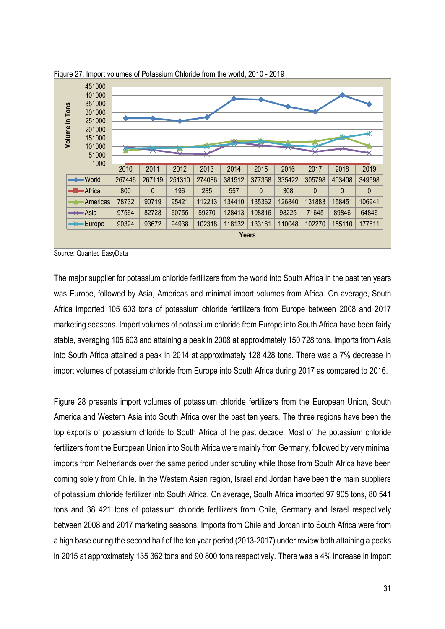

<span id="page-30-0"></span>Figure 27: Import volumes of Potassium Chloride from the world, 2010 - 2019

The major supplier for potassium chloride fertilizers from the world into South Africa in the past ten years was Europe, followed by Asia, Americas and minimal import volumes from Africa. On average, South Africa imported 105 603 tons of potassium chloride fertilizers from Europe between 2008 and 2017 marketing seasons. Import volumes of potassium chloride from Europe into South Africa have been fairly stable, averaging 105 603 and attaining a peak in 2008 at approximately 150 728 tons. Imports from Asia into South Africa attained a peak in 2014 at approximately 128 428 tons. There was a 7% decrease in import volumes of potassium chloride from Europe into South Africa during 2017 as compared to 2016.

Figure 28 presents import volumes of potassium chloride fertilizers from the European Union, South America and Western Asia into South Africa over the past ten years. The three regions have been the top exports of potassium chloride to South Africa of the past decade. Most of the potassium chloride fertilizers from the European Union into South Africa were mainly from Germany, followed by very minimal imports from Netherlands over the same period under scrutiny while those from South Africa have been coming solely from Chile. In the Western Asian region, Israel and Jordan have been the main suppliers of potassium chloride fertilizer into South Africa. On average, South Africa imported 97 905 tons, 80 541 tons and 38 421 tons of potassium chloride fertilizers from Chile, Germany and Israel respectively between 2008 and 2017 marketing seasons. Imports from Chile and Jordan into South Africa were from a high base during the second half of the ten year period (2013-2017) under review both attaining a peaks in 2015 at approximately 135 362 tons and 90 800 tons respectively. There was a 4% increase in import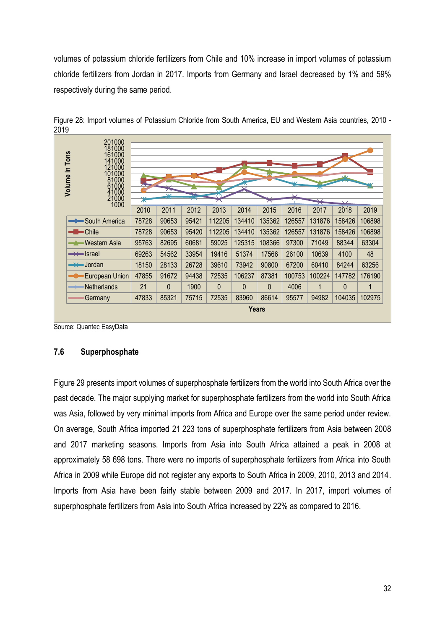volumes of potassium chloride fertilizers from Chile and 10% increase in import volumes of potassium chloride fertilizers from Jordan in 2017. Imports from Germany and Israel decreased by 1% and 59% respectively during the same period.

| 201000<br>181000<br>Volume in Tons<br>161000<br>141000<br>121000<br>101000<br>81000<br>61000<br>41000 |       | $\vee$       |       | ᡪ᠇ᡔ      |              |              | N.Z<br>$\overline{\phantom{a}}$ | ᄌ            |              |        |
|-------------------------------------------------------------------------------------------------------|-------|--------------|-------|----------|--------------|--------------|---------------------------------|--------------|--------------|--------|
| 21000<br>1000                                                                                         | ⋇     |              |       |          |              |              |                                 | ⇁            |              |        |
|                                                                                                       | 2010  | 2011         | 2012  | 2013     | 2014         | 2015         | 2016                            | 2017         | 2018         | 2019   |
| South America                                                                                         | 78728 | 90653        | 95421 | 112205   | 134410       | 135362       | 126557                          | 131876       | 158426       | 106898 |
| $-\blacksquare$ - Chile                                                                               | 78728 | 90653        | 95420 | 112205   | 134410       | 135362       | 126557                          | 131876       | 158426       | 106898 |
| —▲ Western Asia                                                                                       | 95763 | 82695        | 60681 | 59025    | 125315       | 108366       | 97300                           | 71049        | 88344        | 63304  |
| $\rightarrow \leftarrow$ Israel                                                                       | 69263 | 54562        | 33954 | 19416    | 51374        | 17566        | 26100                           | 10639        | 4100         | 48     |
| <del>- J</del> ordan                                                                                  | 18150 | 28133        | 26728 | 39610    | 73942        | 90800        | 67200                           | 60410        | 84244        | 63256  |
| European Union                                                                                        | 47855 | 91672        | 94438 | 72535    | 106237       | 87381        | 100753                          | 100224       | 147782       | 176190 |
| Netherlands<br>—                                                                                      | 21    | $\mathbf{0}$ | 1900  | $\Omega$ | $\mathbf{0}$ | 0            | 4006                            | $\mathbf{1}$ | $\mathbf{0}$ | 1      |
| Germany                                                                                               | 47833 | 85321        | 75715 | 72535    | 83960        | 86614        | 95577                           | 94982        | 104035       | 102975 |
|                                                                                                       |       |              |       |          |              | <b>Years</b> |                                 |              |              |        |

<span id="page-31-1"></span>Figure 28: Import volumes of Potassium Chloride from South America, EU and Western Asia countries, 2010 - 2019

Source: Quantec EasyData

### <span id="page-31-0"></span>**7.6 Superphosphate**

Figure 29 presents import volumes of superphosphate fertilizers from the world into South Africa over the past decade. The major supplying market for superphosphate fertilizers from the world into South Africa was Asia, followed by very minimal imports from Africa and Europe over the same period under review. On average, South Africa imported 21 223 tons of superphosphate fertilizers from Asia between 2008 and 2017 marketing seasons. Imports from Asia into South Africa attained a peak in 2008 at approximately 58 698 tons. There were no imports of superphosphate fertilizers from Africa into South Africa in 2009 while Europe did not register any exports to South Africa in 2009, 2010, 2013 and 2014. Imports from Asia have been fairly stable between 2009 and 2017. In 2017, import volumes of superphosphate fertilizers from Asia into South Africa increased by 22% as compared to 2016.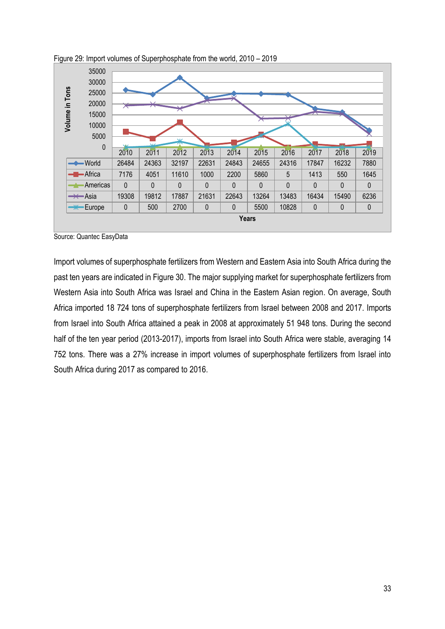

<span id="page-32-0"></span>Figure 29: Import volumes of Superphosphate from the world, 2010 – 2019

Import volumes of superphosphate fertilizers from Western and Eastern Asia into South Africa during the past ten years are indicated in Figure 30. The major supplying market for superphosphate fertilizers from Western Asia into South Africa was Israel and China in the Eastern Asian region. On average, South Africa imported 18 724 tons of superphosphate fertilizers from Israel between 2008 and 2017. Imports from Israel into South Africa attained a peak in 2008 at approximately 51 948 tons. During the second half of the ten year period (2013-2017), imports from Israel into South Africa were stable, averaging 14 752 tons. There was a 27% increase in import volumes of superphosphate fertilizers from Israel into South Africa during 2017 as compared to 2016.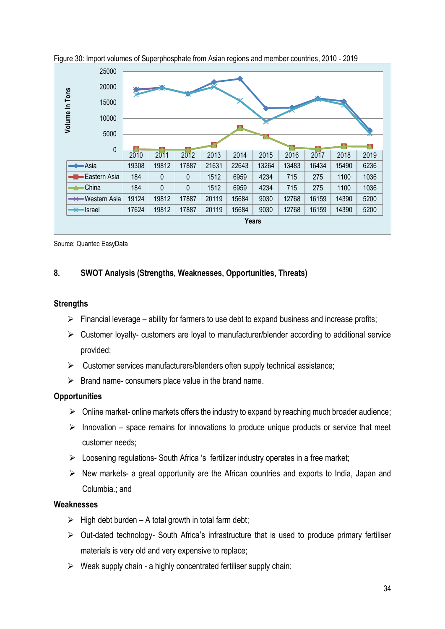

<span id="page-33-1"></span>Figure 30: Import volumes of Superphosphate from Asian regions and member countries, 2010 - 2019

## <span id="page-33-0"></span>**8. SWOT Analysis (Strengths, Weaknesses, Opportunities, Threats)**

#### **Strengths**

- $\triangleright$  Financial leverage ability for farmers to use debt to expand business and increase profits;
- $\triangleright$  Customer loyalty- customers are loyal to manufacturer/blender according to additional service provided;
- $\triangleright$  Customer services manufacturers/blenders often supply technical assistance;
- $\triangleright$  Brand name- consumers place value in the brand name.

### **Opportunities**

- $\triangleright$  Online market- online markets offers the industry to expand by reaching much broader audience;
- $\triangleright$  Innovation space remains for innovations to produce unique products or service that meet customer needs;
- $\triangleright$  Loosening regulations- South Africa 's fertilizer industry operates in a free market;
- $\triangleright$  New markets- a great opportunity are the African countries and exports to India, Japan and Columbia.; and

#### **Weaknesses**

- $\triangleright$  High debt burden A total growth in total farm debt;
- $\triangleright$  Out-dated technology- South Africa's infrastructure that is used to produce primary fertiliser materials is very old and very expensive to replace;
- $\triangleright$  Weak supply chain a highly concentrated fertiliser supply chain;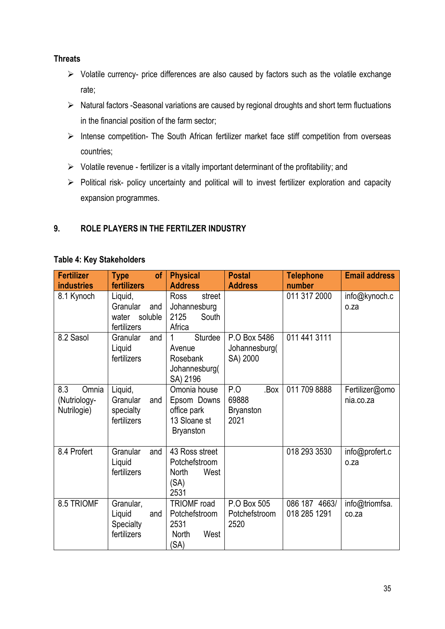## **Threats**

- $\triangleright$  Volatile currency- price differences are also caused by factors such as the volatile exchange rate;
- $\triangleright$  Natural factors -Seasonal variations are caused by regional droughts and short term fluctuations in the financial position of the farm sector;
- $\triangleright$  Intense competition- The South African fertilizer market face stiff competition from overseas countries;
- $\triangleright$  Volatile revenue fertilizer is a vitally important determinant of the profitability; and
- Political risk- policy uncertainty and political will to invest fertilizer exploration and capacity expansion programmes.

# <span id="page-34-0"></span>**9. ROLE PLAYERS IN THE FERTILZER INDUSTRY**

### **Table 4: Key Stakeholders**

| <b>Fertilizer</b><br><b>industries</b>      | <b>Type</b><br><b>of</b><br>fertilizers                       | <b>Physical</b><br><b>Address</b>                                              | <b>Postal</b><br><b>Address</b>                  | <b>Telephone</b><br>number    | <b>Email address</b>        |
|---------------------------------------------|---------------------------------------------------------------|--------------------------------------------------------------------------------|--------------------------------------------------|-------------------------------|-----------------------------|
| 8.1 Kynoch                                  | Liquid,<br>Granular<br>and<br>soluble<br>water<br>fertilizers | street<br><b>Ross</b><br>Johannesburg<br>2125<br>South<br>Africa               |                                                  | 011 317 2000                  | info@kynoch.c<br>o.za       |
| 8.2 Sasol                                   | Granular<br>and<br>Liquid<br>fertilizers                      | Sturdee<br>1<br>Avenue<br>Rosebank<br>Johannesburg(<br>SA) 2196                | P.O Box 5486<br>Johannesburg(<br>SA) 2000        | 011 441 3111                  |                             |
| 8.3<br>Omnia<br>(Nutriology-<br>Nutrilogie) | Liquid,<br>Granular<br>and<br>specialty<br>fertilizers        | Omonia house<br>Epsom Downs<br>office park<br>13 Sloane st<br><b>Bryanston</b> | P.O<br>.Box<br>69888<br><b>Bryanston</b><br>2021 | 011 709 8888                  | Fertilizer@omo<br>nia.co.za |
| 8.4 Profert                                 | Granular<br>and<br>Liquid<br>fertilizers                      | 43 Ross street<br>Potchefstroom<br><b>North</b><br>West<br>(SA)<br>2531        |                                                  | 018 293 3530                  | info@profert.c<br>o.za      |
| 8.5 TRIOMF                                  | Granular,<br>Liquid<br>and<br>Specialty<br>fertilizers        | <b>TRIOMF</b> road<br>Potchefstroom<br>2531<br>West<br>North<br>(SA)           | P.O Box 505<br>Potchefstroom<br>2520             | 086 187 4663/<br>018 285 1291 | info@triomfsa.<br>co.za     |